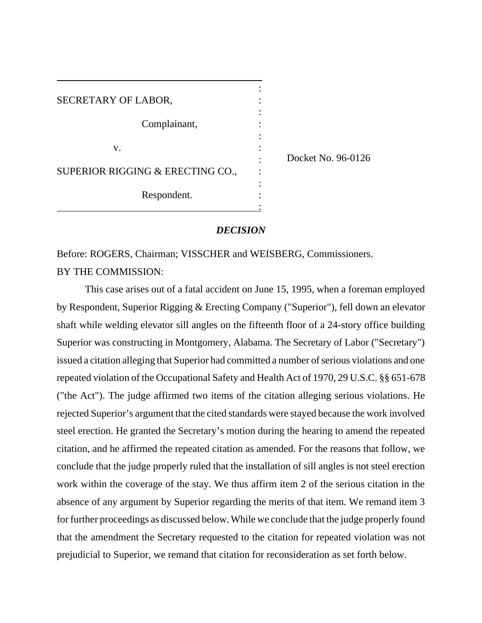| SECRETARY OF LABOR,              |  |
|----------------------------------|--|
| Complainant,                     |  |
| V.                               |  |
| SUPERIOR RIGGING & ERECTING CO., |  |
| Respondent.                      |  |

Docket No. 96-0126

# *DECISION*

Before: ROGERS, Chairman; VISSCHER and WEISBERG, Commissioners. BY THE COMMISSION:

This case arises out of a fatal accident on June 15, 1995, when a foreman employed by Respondent, Superior Rigging & Erecting Company ("Superior"), fell down an elevator shaft while welding elevator sill angles on the fifteenth floor of a 24-story office building Superior was constructing in Montgomery, Alabama. The Secretary of Labor ("Secretary") issued a citation alleging that Superior had committed a number of serious violations and one repeated violation of the Occupational Safety and Health Act of 1970, 29 U.S.C. §§ 651-678 ("the Act"). The judge affirmed two items of the citation alleging serious violations. He rejected Superior's argument that the cited standards were stayed because the work involved steel erection. He granted the Secretary's motion during the hearing to amend the repeated citation, and he affirmed the repeated citation as amended. For the reasons that follow, we conclude that the judge properly ruled that the installation of sill angles is not steel erection work within the coverage of the stay. We thus affirm item 2 of the serious citation in the absence of any argument by Superior regarding the merits of that item. We remand item 3 for further proceedings as discussed below. While we conclude that the judge properly found that the amendment the Secretary requested to the citation for repeated violation was not prejudicial to Superior, we remand that citation for reconsideration as set forth below.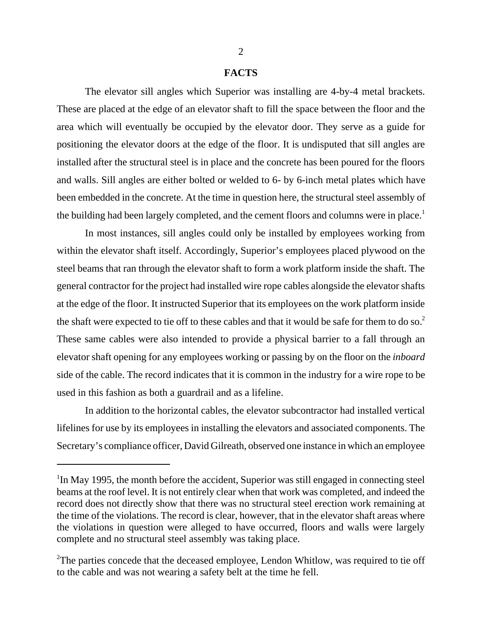#### **FACTS**

The elevator sill angles which Superior was installing are 4-by-4 metal brackets. These are placed at the edge of an elevator shaft to fill the space between the floor and the area which will eventually be occupied by the elevator door. They serve as a guide for positioning the elevator doors at the edge of the floor. It is undisputed that sill angles are installed after the structural steel is in place and the concrete has been poured for the floors and walls. Sill angles are either bolted or welded to 6- by 6-inch metal plates which have been embedded in the concrete. At the time in question here, the structural steel assembly of the building had been largely completed, and the cement floors and columns were in place.<sup>1</sup>

In most instances, sill angles could only be installed by employees working from within the elevator shaft itself. Accordingly, Superior's employees placed plywood on the steel beams that ran through the elevator shaft to form a work platform inside the shaft. The general contractor for the project had installed wire rope cables alongside the elevator shafts at the edge of the floor. It instructed Superior that its employees on the work platform inside the shaft were expected to tie off to these cables and that it would be safe for them to do so.<sup>2</sup> These same cables were also intended to provide a physical barrier to a fall through an elevator shaft opening for any employees working or passing by on the floor on the *inboard* side of the cable. The record indicates that it is common in the industry for a wire rope to be used in this fashion as both a guardrail and as a lifeline.

In addition to the horizontal cables, the elevator subcontractor had installed vertical lifelines for use by its employees in installing the elevators and associated components. The Secretary's compliance officer, David Gilreath, observed one instance in which an employee

<sup>&</sup>lt;sup>1</sup>In May 1995, the month before the accident, Superior was still engaged in connecting steel beams at the roof level. It is not entirely clear when that work was completed, and indeed the record does not directly show that there was no structural steel erection work remaining at the time of the violations. The record is clear, however, that in the elevator shaft areas where the violations in question were alleged to have occurred, floors and walls were largely complete and no structural steel assembly was taking place.

 $2$ The parties concede that the deceased employee, Lendon Whitlow, was required to tie off to the cable and was not wearing a safety belt at the time he fell.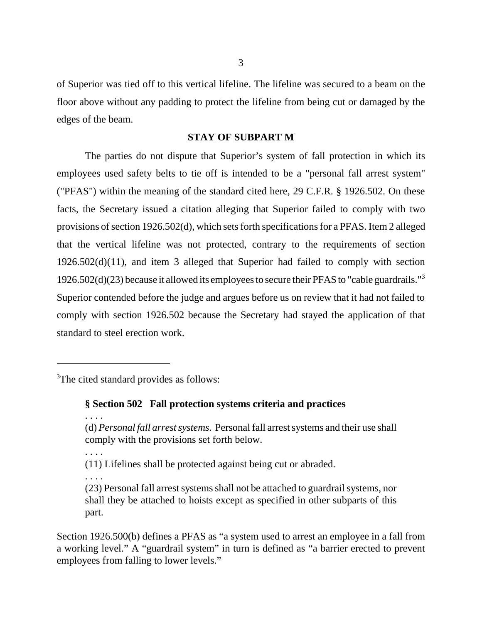of Superior was tied off to this vertical lifeline. The lifeline was secured to a beam on the floor above without any padding to protect the lifeline from being cut or damaged by the edges of the beam.

# **STAY OF SUBPART M**

The parties do not dispute that Superior's system of fall protection in which its employees used safety belts to tie off is intended to be a "personal fall arrest system" ("PFAS") within the meaning of the standard cited here, 29 C.F.R. § 1926.502. On these facts, the Secretary issued a citation alleging that Superior failed to comply with two provisions of section 1926.502(d), which sets forth specifications for a PFAS. Item 2 alleged that the vertical lifeline was not protected, contrary to the requirements of section 1926.502(d)(11), and item 3 alleged that Superior had failed to comply with section 1926.502(d)(23) because it allowed its employees to secure their PFAS to "cable guardrails."<sup>3</sup> Superior contended before the judge and argues before us on review that it had not failed to comply with section 1926.502 because the Secretary had stayed the application of that standard to steel erection work.

<sup>3</sup>The cited standard provides as follows:

**§ Section 502 Fall protection systems criteria and practices**

. . . .

. . . .

(11) Lifelines shall be protected against being cut or abraded.

. . . . (23) Personal fall arrest systems shall not be attached to guardrail systems, nor shall they be attached to hoists except as specified in other subparts of this part.

Section 1926.500(b) defines a PFAS as "a system used to arrest an employee in a fall from a working level." A "guardrail system" in turn is defined as "a barrier erected to prevent employees from falling to lower levels."

<sup>(</sup>d) *Personal fall arrest systems*. Personal fall arrest systems and their use shall comply with the provisions set forth below.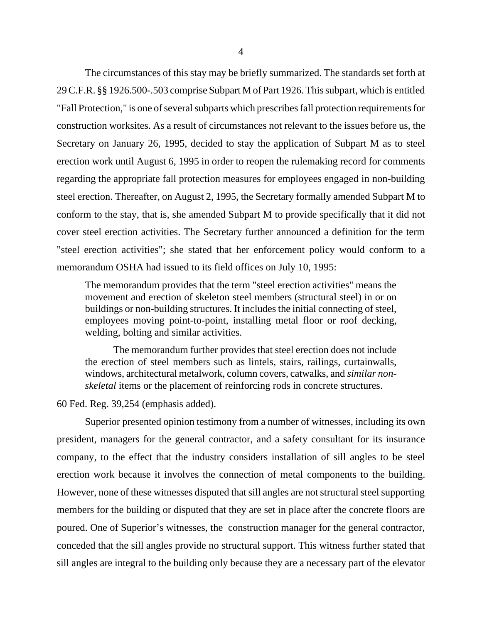The circumstances of this stay may be briefly summarized. The standards set forth at 29 C.F.R. §§ 1926.500-.503 comprise Subpart M of Part 1926. This subpart, which is entitled "Fall Protection," is one of several subparts which prescribes fall protection requirements for construction worksites. As a result of circumstances not relevant to the issues before us, the Secretary on January 26, 1995, decided to stay the application of Subpart M as to steel erection work until August 6, 1995 in order to reopen the rulemaking record for comments regarding the appropriate fall protection measures for employees engaged in non-building steel erection. Thereafter, on August 2, 1995, the Secretary formally amended Subpart M to conform to the stay, that is, she amended Subpart M to provide specifically that it did not cover steel erection activities. The Secretary further announced a definition for the term "steel erection activities"; she stated that her enforcement policy would conform to a memorandum OSHA had issued to its field offices on July 10, 1995:

The memorandum provides that the term "steel erection activities" means the movement and erection of skeleton steel members (structural steel) in or on buildings or non-building structures. It includes the initial connecting of steel, employees moving point-to-point, installing metal floor or roof decking, welding, bolting and similar activities.

The memorandum further provides that steel erection does not include the erection of steel members such as lintels, stairs, railings, curtainwalls, windows, architectural metalwork, column covers, catwalks, and *similar nonskeletal* items or the placement of reinforcing rods in concrete structures.

## 60 Fed. Reg. 39,254 (emphasis added).

Superior presented opinion testimony from a number of witnesses, including its own president, managers for the general contractor, and a safety consultant for its insurance company, to the effect that the industry considers installation of sill angles to be steel erection work because it involves the connection of metal components to the building. However, none of these witnesses disputed that sill angles are not structural steel supporting members for the building or disputed that they are set in place after the concrete floors are poured. One of Superior's witnesses, the construction manager for the general contractor, conceded that the sill angles provide no structural support. This witness further stated that sill angles are integral to the building only because they are a necessary part of the elevator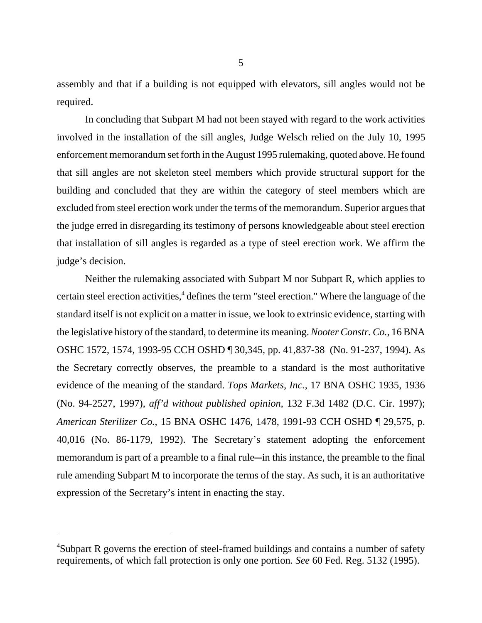assembly and that if a building is not equipped with elevators, sill angles would not be required.

In concluding that Subpart M had not been stayed with regard to the work activities involved in the installation of the sill angles, Judge Welsch relied on the July 10, 1995 enforcement memorandum set forth in the August 1995 rulemaking, quoted above. He found that sill angles are not skeleton steel members which provide structural support for the building and concluded that they are within the category of steel members which are excluded from steel erection work under the terms of the memorandum. Superior argues that the judge erred in disregarding its testimony of persons knowledgeable about steel erection that installation of sill angles is regarded as a type of steel erection work. We affirm the judge's decision.

Neither the rulemaking associated with Subpart M nor Subpart R, which applies to certain steel erection activities,<sup>4</sup> defines the term "steel erection." Where the language of the standard itself is not explicit on a matter in issue, we look to extrinsic evidence, starting with the legislative history of the standard, to determine its meaning. *Nooter Constr. Co.*, 16 BNA OSHC 1572, 1574, 1993-95 CCH OSHD ¶ 30,345, pp. 41,837-38 (No. 91-237, 1994). As the Secretary correctly observes, the preamble to a standard is the most authoritative evidence of the meaning of the standard. *Tops Markets, Inc.*, 17 BNA OSHC 1935, 1936 (No. 94-2527, 1997), *aff'd without published opinion*, 132 F.3d 1482 (D.C. Cir. 1997); *American Sterilizer Co.*, 15 BNA OSHC 1476, 1478, 1991-93 CCH OSHD ¶ 29,575, p. 40,016 (No. 86-1179, 1992). The Secretary's statement adopting the enforcement memorandum is part of a preamble to a final rule—in this instance, the preamble to the final rule amending Subpart M to incorporate the terms of the stay. As such, it is an authoritative expression of the Secretary's intent in enacting the stay.

<sup>&</sup>lt;sup>4</sup>Subpart R governs the erection of steel-framed buildings and contains a number of safety requirements, of which fall protection is only one portion. *See* 60 Fed. Reg. 5132 (1995).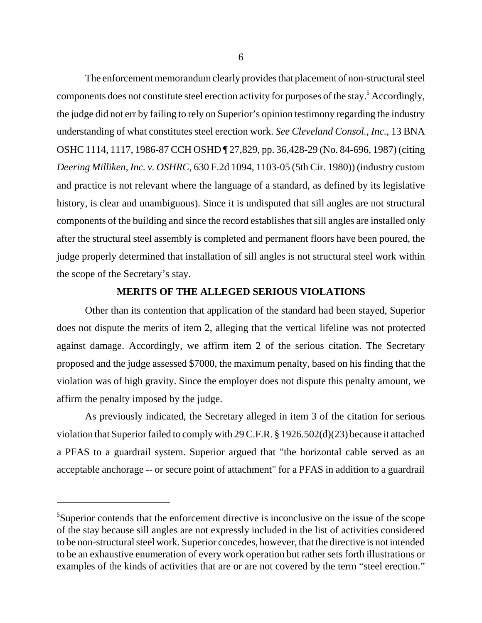The enforcement memorandum clearly provides that placement of non-structural steel components does not constitute steel erection activity for purposes of the stay.<sup>5</sup> Accordingly, the judge did not err by failing to rely on Superior's opinion testimony regarding the industry understanding of what constitutes steel erection work. *See Cleveland Consol., Inc.*, 13 BNA OSHC 1114, 1117, 1986-87 CCH OSHD ¶ 27,829, pp. 36,428-29 (No. 84-696, 1987) (citing *Deering Milliken, Inc. v. OSHRC*, 630 F.2d 1094, 1103-05 (5th Cir. 1980)) (industry custom and practice is not relevant where the language of a standard, as defined by its legislative history, is clear and unambiguous). Since it is undisputed that sill angles are not structural components of the building and since the record establishes that sill angles are installed only after the structural steel assembly is completed and permanent floors have been poured, the judge properly determined that installation of sill angles is not structural steel work within the scope of the Secretary's stay.

### **MERITS OF THE ALLEGED SERIOUS VIOLATIONS**

Other than its contention that application of the standard had been stayed, Superior does not dispute the merits of item 2, alleging that the vertical lifeline was not protected against damage. Accordingly, we affirm item 2 of the serious citation. The Secretary proposed and the judge assessed \$7000, the maximum penalty, based on his finding that the violation was of high gravity. Since the employer does not dispute this penalty amount, we affirm the penalty imposed by the judge.

As previously indicated, the Secretary alleged in item 3 of the citation for serious violation that Superior failed to comply with 29 C.F.R. § 1926.502(d)(23) because it attached a PFAS to a guardrail system. Superior argued that "the horizontal cable served as an acceptable anchorage -- or secure point of attachment" for a PFAS in addition to a guardrail

<sup>&</sup>lt;sup>5</sup>Superior contends that the enforcement directive is inconclusive on the issue of the scope of the stay because sill angles are not expressly included in the list of activities considered to be non-structural steel work. Superior concedes, however, that the directive is not intended to be an exhaustive enumeration of every work operation but rather sets forth illustrations or examples of the kinds of activities that are or are not covered by the term "steel erection."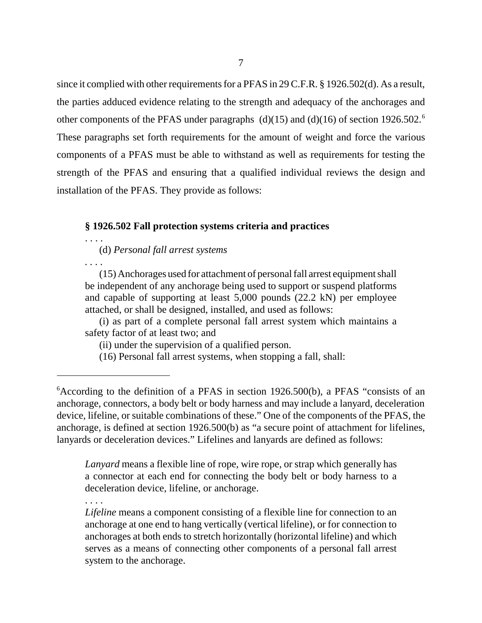since it complied with other requirements for a PFAS in 29 C.F.R. § 1926.502(d). As a result, the parties adduced evidence relating to the strength and adequacy of the anchorages and other components of the PFAS under paragraphs (d)(15) and (d)(16) of section 1926.502.<sup>6</sup> These paragraphs set forth requirements for the amount of weight and force the various components of a PFAS must be able to withstand as well as requirements for testing the strength of the PFAS and ensuring that a qualified individual reviews the design and installation of the PFAS. They provide as follows:

## **§ 1926.502 Fall protection systems criteria and practices**

. . . . (d) *Personal fall arrest systems*

*. . . .*

(15) Anchorages used for attachment of personal fall arrest equipment shall be independent of any anchorage being used to support or suspend platforms and capable of supporting at least 5,000 pounds (22.2 kN) per employee attached, or shall be designed, installed, and used as follows:

(i) as part of a complete personal fall arrest system which maintains a safety factor of at least two; and

(ii) under the supervision of a qualified person.

(16) Personal fall arrest systems, when stopping a fall, shall:

*Lanyard* means a flexible line of rope, wire rope, or strap which generally has a connector at each end for connecting the body belt or body harness to a deceleration device, lifeline, or anchorage.

. . . .

*Lifeline* means a component consisting of a flexible line for connection to an anchorage at one end to hang vertically (vertical lifeline), or for connection to anchorages at both ends to stretch horizontally (horizontal lifeline) and which serves as a means of connecting other components of a personal fall arrest system to the anchorage.

<sup>&</sup>lt;sup>6</sup> According to the definition of a PFAS in section 1926.500(b), a PFAS "consists of an anchorage, connectors, a body belt or body harness and may include a lanyard, deceleration device, lifeline, or suitable combinations of these." One of the components of the PFAS, the anchorage, is defined at section 1926.500(b) as "a secure point of attachment for lifelines, lanyards or deceleration devices." Lifelines and lanyards are defined as follows: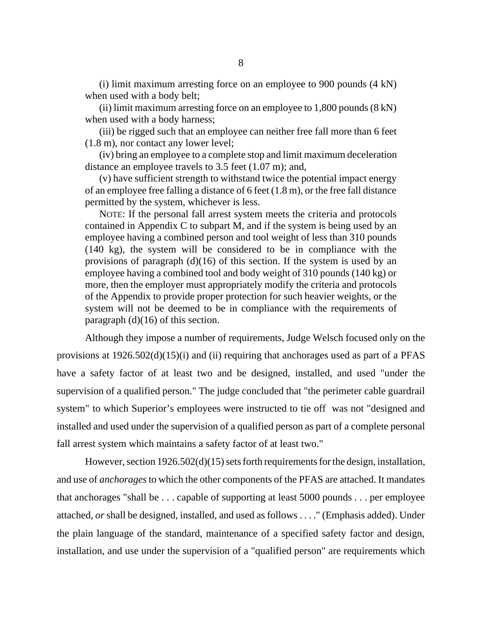(i) limit maximum arresting force on an employee to 900 pounds (4 kN) when used with a body belt;

(ii) limit maximum arresting force on an employee to  $1,800$  pounds  $(8 \text{ kN})$ when used with a body harness;

(iii) be rigged such that an employee can neither free fall more than 6 feet (1.8 m), nor contact any lower level;

(iv) bring an employee to a complete stop and limit maximum deceleration distance an employee travels to 3.5 feet (1.07 m); and,

(v) have sufficient strength to withstand twice the potential impact energy of an employee free falling a distance of 6 feet (1.8 m), or the free fall distance permitted by the system, whichever is less.

NOTE: If the personal fall arrest system meets the criteria and protocols contained in Appendix C to subpart M, and if the system is being used by an employee having a combined person and tool weight of less than 310 pounds (140 kg), the system will be considered to be in compliance with the provisions of paragraph (d)(16) of this section. If the system is used by an employee having a combined tool and body weight of 310 pounds (140 kg) or more, then the employer must appropriately modify the criteria and protocols of the Appendix to provide proper protection for such heavier weights, or the system will not be deemed to be in compliance with the requirements of paragraph (d)(16) of this section.

Although they impose a number of requirements, Judge Welsch focused only on the provisions at 1926.502(d)(15)(i) and (ii) requiring that anchorages used as part of a PFAS have a safety factor of at least two and be designed, installed, and used "under the supervision of a qualified person." The judge concluded that "the perimeter cable guardrail system" to which Superior's employees were instructed to tie off was not "designed and installed and used under the supervision of a qualified person as part of a complete personal fall arrest system which maintains a safety factor of at least two."

However, section 1926.502(d)(15) sets forth requirements for the design, installation, and use of *anchorages* to which the other components of the PFAS are attached. It mandates that anchorages "shall be . . . capable of supporting at least 5000 pounds . . . per employee attached, *or* shall be designed, installed, and used as follows . . . ." (Emphasis added). Under the plain language of the standard, maintenance of a specified safety factor and design, installation, and use under the supervision of a "qualified person" are requirements which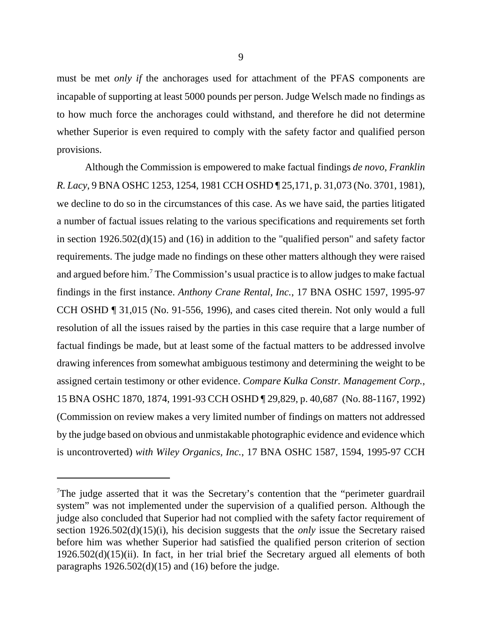must be met *only if* the anchorages used for attachment of the PFAS components are incapable of supporting at least 5000 pounds per person. Judge Welsch made no findings as to how much force the anchorages could withstand, and therefore he did not determine whether Superior is even required to comply with the safety factor and qualified person provisions.

Although the Commission is empowered to make factual findings *de novo*, *Franklin R. Lacy*, 9 BNA OSHC 1253, 1254, 1981 CCH OSHD ¶ 25,171, p. 31,073 (No. 3701, 1981), we decline to do so in the circumstances of this case. As we have said, the parties litigated a number of factual issues relating to the various specifications and requirements set forth in section 1926.502(d)(15) and (16) in addition to the "qualified person" and safety factor requirements. The judge made no findings on these other matters although they were raised and argued before him.<sup>7</sup> The Commission's usual practice is to allow judges to make factual findings in the first instance. *Anthony Crane Rental, Inc.*, 17 BNA OSHC 1597, 1995-97 CCH OSHD ¶ 31,015 (No. 91-556, 1996), and cases cited therein. Not only would a full resolution of all the issues raised by the parties in this case require that a large number of factual findings be made, but at least some of the factual matters to be addressed involve drawing inferences from somewhat ambiguous testimony and determining the weight to be assigned certain testimony or other evidence. *Compare Kulka Constr. Management Corp.*, 15 BNA OSHC 1870, 1874, 1991-93 CCH OSHD ¶ 29,829, p. 40,687 (No. 88-1167, 1992) (Commission on review makes a very limited number of findings on matters not addressed by the judge based on obvious and unmistakable photographic evidence and evidence which is uncontroverted) *with Wiley Organics, Inc.*, 17 BNA OSHC 1587, 1594, 1995-97 CCH

<sup>&</sup>lt;sup>7</sup>The judge asserted that it was the Secretary's contention that the "perimeter guardrail" system" was not implemented under the supervision of a qualified person. Although the judge also concluded that Superior had not complied with the safety factor requirement of section 1926.502(d)(15)(i), his decision suggests that the *only* issue the Secretary raised before him was whether Superior had satisfied the qualified person criterion of section 1926.502(d)(15)(ii). In fact, in her trial brief the Secretary argued all elements of both paragraphs  $1926.502(d)(15)$  and  $(16)$  before the judge.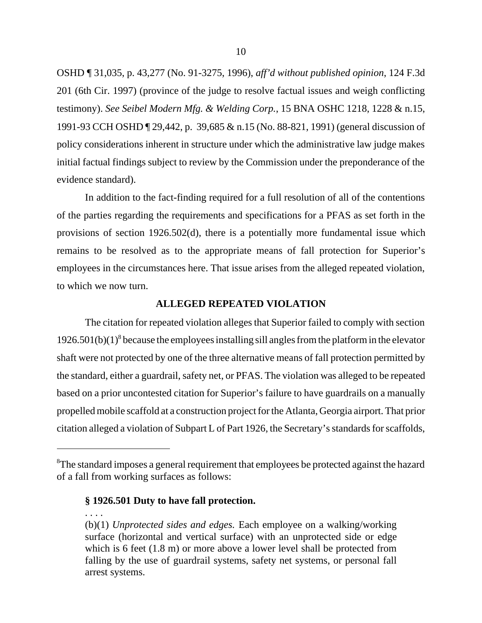OSHD ¶ 31,035, p. 43,277 (No. 91-3275, 1996), *aff'd without published opinion*, 124 F.3d 201 (6th Cir. 1997) (province of the judge to resolve factual issues and weigh conflicting testimony). *See Seibel Modern Mfg. & Welding Corp.*, 15 BNA OSHC 1218, 1228 & n.15, 1991-93 CCH OSHD ¶ 29,442, p. 39,685 & n.15 (No. 88-821, 1991) (general discussion of policy considerations inherent in structure under which the administrative law judge makes initial factual findings subject to review by the Commission under the preponderance of the evidence standard).

In addition to the fact-finding required for a full resolution of all of the contentions of the parties regarding the requirements and specifications for a PFAS as set forth in the provisions of section 1926.502(d), there is a potentially more fundamental issue which remains to be resolved as to the appropriate means of fall protection for Superior's employees in the circumstances here. That issue arises from the alleged repeated violation, to which we now turn.

### **ALLEGED REPEATED VIOLATION**

The citation for repeated violation alleges that Superior failed to comply with section  $1926.501(b)(1)^{8}$  because the employees installing sill angles from the platform in the elevator shaft were not protected by one of the three alternative means of fall protection permitted by the standard, either a guardrail, safety net, or PFAS. The violation was alleged to be repeated based on a prior uncontested citation for Superior's failure to have guardrails on a manually propelled mobile scaffold at a construction project for the Atlanta, Georgia airport. That prior citation alleged a violation of Subpart L of Part 1926, the Secretary's standards for scaffolds,

### **§ 1926.501 Duty to have fall protection.**

. . . .

 ${}^{8}$ The standard imposes a general requirement that employees be protected against the hazard of a fall from working surfaces as follows:

<sup>(</sup>b)(1) *Unprotected sides and edges.* Each employee on a walking/working surface (horizontal and vertical surface) with an unprotected side or edge which is 6 feet (1.8 m) or more above a lower level shall be protected from falling by the use of guardrail systems, safety net systems, or personal fall arrest systems.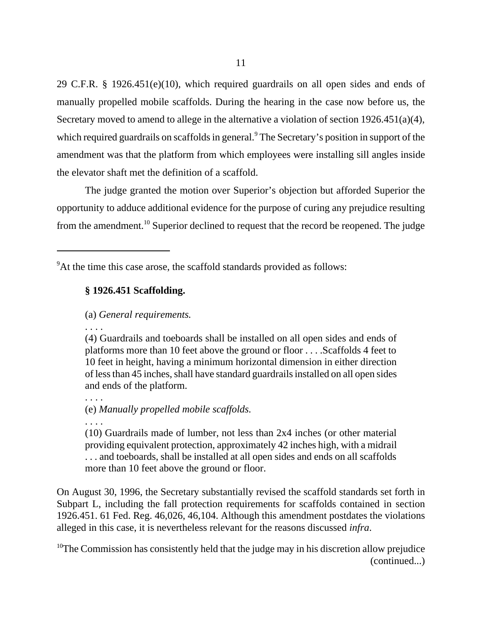29 C.F.R. § 1926.451(e)(10), which required guardrails on all open sides and ends of manually propelled mobile scaffolds. During the hearing in the case now before us, the Secretary moved to amend to allege in the alternative a violation of section 1926.451(a)(4), which required guardrails on scaffolds in general.<sup>9</sup> The Secretary's position in support of the amendment was that the platform from which employees were installing sill angles inside the elevator shaft met the definition of a scaffold.

The judge granted the motion over Superior's objection but afforded Superior the opportunity to adduce additional evidence for the purpose of curing any prejudice resulting from the amendment.10 Superior declined to request that the record be reopened. The judge

# **§ 1926.451 Scaffolding.**

## (a) *General requirements.*

. . . .

(4) Guardrails and toeboards shall be installed on all open sides and ends of platforms more than 10 feet above the ground or floor . . . .Scaffolds 4 feet to 10 feet in height, having a minimum horizontal dimension in either direction of less than 45 inches, shall have standard guardrails installed on all open sides and ends of the platform.

. . . . (e) *Manually propelled mobile scaffolds.*

. . . .

(10) Guardrails made of lumber, not less than 2x4 inches (or other material providing equivalent protection, approximately 42 inches high, with a midrail . . . and toeboards, shall be installed at all open sides and ends on all scaffolds more than 10 feet above the ground or floor.

On August 30, 1996, the Secretary substantially revised the scaffold standards set forth in Subpart L, including the fall protection requirements for scaffolds contained in section 1926.451. 61 Fed. Reg. 46,026, 46,104. Although this amendment postdates the violations alleged in this case, it is nevertheless relevant for the reasons discussed *infra*.

 $10$ The Commission has consistently held that the judge may in his discretion allow prejudice (continued...)

<sup>&</sup>lt;sup>9</sup>At the time this case arose, the scaffold standards provided as follows: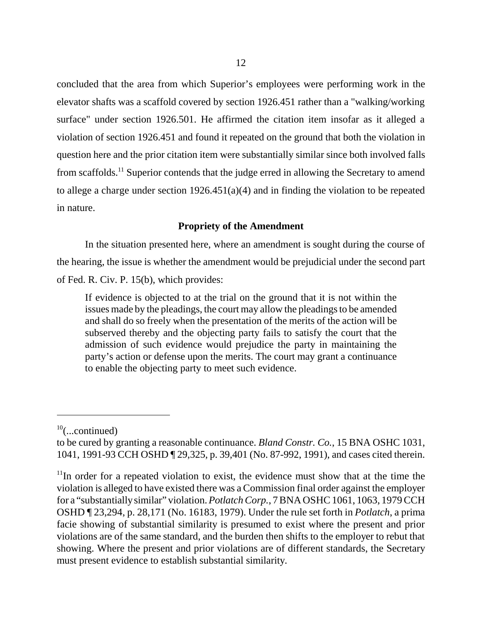concluded that the area from which Superior's employees were performing work in the elevator shafts was a scaffold covered by section 1926.451 rather than a "walking/working surface" under section 1926.501. He affirmed the citation item insofar as it alleged a violation of section 1926.451 and found it repeated on the ground that both the violation in question here and the prior citation item were substantially similar since both involved falls from scaffolds.11 Superior contends that the judge erred in allowing the Secretary to amend to allege a charge under section 1926.451(a)(4) and in finding the violation to be repeated in nature.

# **Propriety of the Amendment**

In the situation presented here, where an amendment is sought during the course of the hearing, the issue is whether the amendment would be prejudicial under the second part of Fed. R. Civ. P. 15(b), which provides:

If evidence is objected to at the trial on the ground that it is not within the issues made by the pleadings, the court may allow the pleadings to be amended and shall do so freely when the presentation of the merits of the action will be subserved thereby and the objecting party fails to satisfy the court that the admission of such evidence would prejudice the party in maintaining the party's action or defense upon the merits. The court may grant a continuance to enable the objecting party to meet such evidence.

 $10$ (...continued)

to be cured by granting a reasonable continuance. *Bland Constr. Co.*, 15 BNA OSHC 1031, 1041, 1991-93 CCH OSHD ¶ 29,325, p. 39,401 (No. 87-992, 1991), and cases cited therein.

 $11$ In order for a repeated violation to exist, the evidence must show that at the time the violation is alleged to have existed there was a Commission final order against the employer for a "substantially similar" violation. *Potlatch Corp.*, 7 BNA OSHC 1061, 1063, 1979 CCH OSHD ¶ 23,294, p. 28,171 (No. 16183, 1979). Under the rule set forth in *Potlatch*, a prima facie showing of substantial similarity is presumed to exist where the present and prior violations are of the same standard, and the burden then shifts to the employer to rebut that showing. Where the present and prior violations are of different standards, the Secretary must present evidence to establish substantial similarity.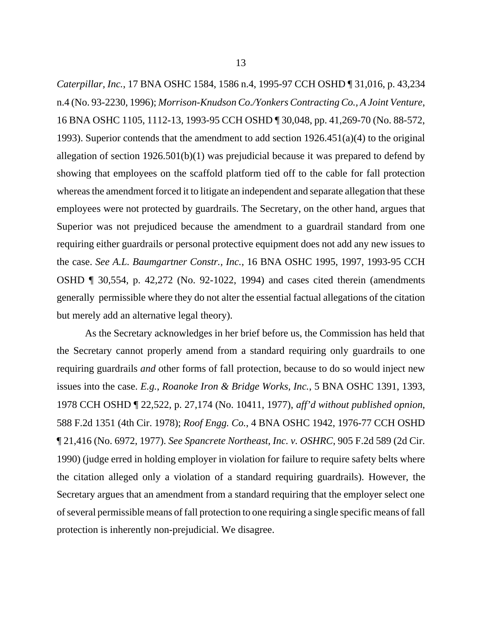*Caterpillar, Inc.*, 17 BNA OSHC 1584, 1586 n.4, 1995-97 CCH OSHD ¶ 31,016, p. 43,234 n.4 (No. 93-2230, 1996); *Morrison-Knudson Co./Yonkers Contracting Co., A Joint Venture*, 16 BNA OSHC 1105, 1112-13, 1993-95 CCH OSHD ¶ 30,048, pp. 41,269-70 (No. 88-572, 1993). Superior contends that the amendment to add section 1926.451(a)(4) to the original allegation of section 1926.501(b)(1) was prejudicial because it was prepared to defend by showing that employees on the scaffold platform tied off to the cable for fall protection whereas the amendment forced it to litigate an independent and separate allegation that these employees were not protected by guardrails. The Secretary, on the other hand, argues that Superior was not prejudiced because the amendment to a guardrail standard from one requiring either guardrails or personal protective equipment does not add any new issues to the case. *See A.L. Baumgartner Constr., Inc.*, 16 BNA OSHC 1995, 1997, 1993-95 CCH OSHD ¶ 30,554, p. 42,272 (No. 92-1022, 1994) and cases cited therein (amendments generally permissible where they do not alter the essential factual allegations of the citation but merely add an alternative legal theory).

As the Secretary acknowledges in her brief before us, the Commission has held that the Secretary cannot properly amend from a standard requiring only guardrails to one requiring guardrails *and* other forms of fall protection, because to do so would inject new issues into the case. *E.g.*, *Roanoke Iron & Bridge Works, Inc.*, 5 BNA OSHC 1391, 1393, 1978 CCH OSHD ¶ 22,522, p. 27,174 (No. 10411, 1977), *aff'd without published opnion*, 588 F.2d 1351 (4th Cir. 1978); *Roof Engg. Co.*, 4 BNA OSHC 1942, 1976-77 CCH OSHD ¶ 21,416 (No. 6972, 1977). *See Spancrete Northeast, Inc. v. OSHRC*, 905 F.2d 589 (2d Cir. 1990) (judge erred in holding employer in violation for failure to require safety belts where the citation alleged only a violation of a standard requiring guardrails). However, the Secretary argues that an amendment from a standard requiring that the employer select one of several permissible means of fall protection to one requiring a single specific means of fall protection is inherently non-prejudicial. We disagree.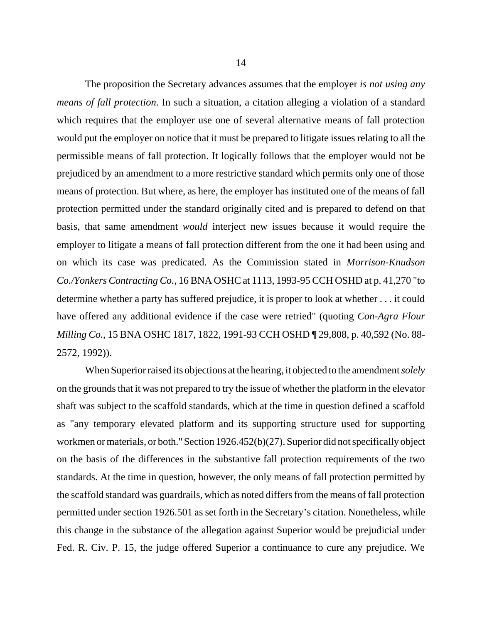The proposition the Secretary advances assumes that the employer *is not using any means of fall protection*. In such a situation, a citation alleging a violation of a standard which requires that the employer use one of several alternative means of fall protection would put the employer on notice that it must be prepared to litigate issues relating to all the permissible means of fall protection. It logically follows that the employer would not be prejudiced by an amendment to a more restrictive standard which permits only one of those means of protection. But where, as here, the employer has instituted one of the means of fall protection permitted under the standard originally cited and is prepared to defend on that basis, that same amendment *would* interject new issues because it would require the employer to litigate a means of fall protection different from the one it had been using and on which its case was predicated. As the Commission stated in *Morrison-Knudson Co./Yonkers Contracting Co.*, 16 BNA OSHC at 1113, 1993-95 CCH OSHD at p. 41,270 "to determine whether a party has suffered prejudice, it is proper to look at whether . . . it could have offered any additional evidence if the case were retried" (quoting *Con-Agra Flour Milling Co.*, 15 BNA OSHC 1817, 1822, 1991-93 CCH OSHD ¶ 29,808, p. 40,592 (No. 88- 2572, 1992)).

When Superior raised its objections at the hearing, it objected to the amendment *solely* on the grounds that it was not prepared to try the issue of whether the platform in the elevator shaft was subject to the scaffold standards, which at the time in question defined a scaffold as "any temporary elevated platform and its supporting structure used for supporting workmen or materials, or both." Section 1926.452(b)(27). Superior did not specifically object on the basis of the differences in the substantive fall protection requirements of the two standards. At the time in question, however, the only means of fall protection permitted by the scaffold standard was guardrails, which as noted differs from the means of fall protection permitted under section 1926.501 as set forth in the Secretary's citation. Nonetheless, while this change in the substance of the allegation against Superior would be prejudicial under Fed. R. Civ. P. 15, the judge offered Superior a continuance to cure any prejudice. We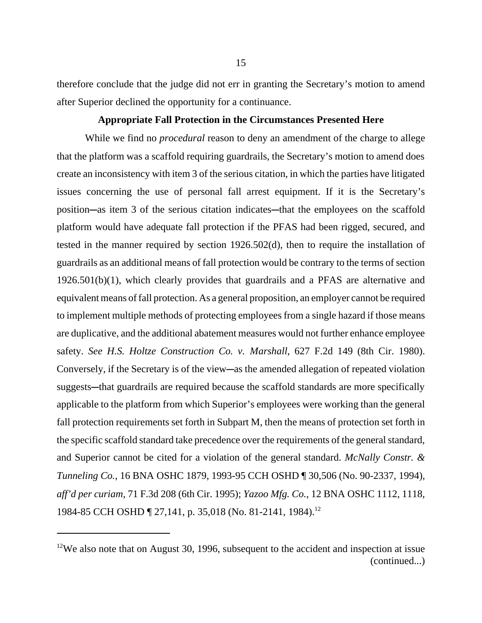therefore conclude that the judge did not err in granting the Secretary's motion to amend after Superior declined the opportunity for a continuance.

### **Appropriate Fall Protection in the Circumstances Presented Here**

While we find no *procedural* reason to deny an amendment of the charge to allege that the platform was a scaffold requiring guardrails, the Secretary's motion to amend does create an inconsistency with item 3 of the serious citation, in which the parties have litigated issues concerning the use of personal fall arrest equipment. If it is the Secretary's position—as item 3 of the serious citation indicates—that the employees on the scaffold platform would have adequate fall protection if the PFAS had been rigged, secured, and tested in the manner required by section 1926.502(d), then to require the installation of guardrails as an additional means of fall protection would be contrary to the terms of section 1926.501(b)(1), which clearly provides that guardrails and a PFAS are alternative and equivalent means of fall protection. As a general proposition, an employer cannot be required to implement multiple methods of protecting employees from a single hazard if those means are duplicative, and the additional abatement measures would not further enhance employee safety. *See H.S. Holtze Construction Co. v. Marshall*, 627 F.2d 149 (8th Cir. 1980). Conversely, if the Secretary is of the view—as the amended allegation of repeated violation suggests—that guardrails are required because the scaffold standards are more specifically applicable to the platform from which Superior's employees were working than the general fall protection requirements set forth in Subpart M, then the means of protection set forth in the specific scaffold standard take precedence over the requirements of the general standard, and Superior cannot be cited for a violation of the general standard. *McNally Constr. & Tunneling Co.*, 16 BNA OSHC 1879, 1993-95 CCH OSHD ¶ 30,506 (No. 90-2337, 1994), *aff'd per curiam*, 71 F.3d 208 (6th Cir. 1995); *Yazoo Mfg. Co.*, 12 BNA OSHC 1112, 1118, 1984-85 CCH OSHD ¶ 27,141, p. 35,018 (No. 81-2141, 1984).<sup>12</sup>

 $12$ We also note that on August 30, 1996, subsequent to the accident and inspection at issue (continued...)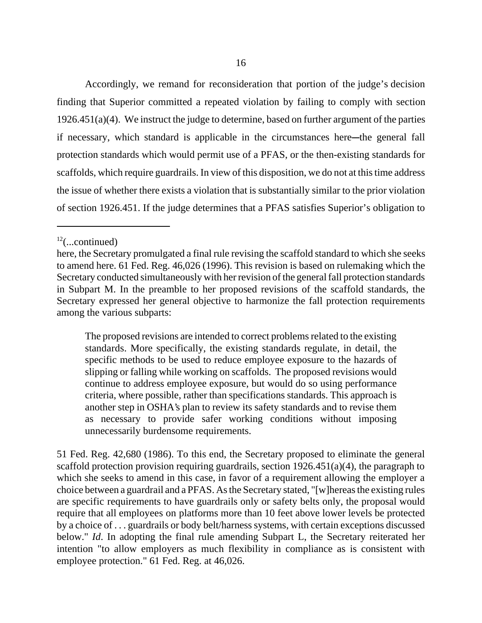Accordingly, we remand for reconsideration that portion of the judge's decision finding that Superior committed a repeated violation by failing to comply with section  $1926.451(a)(4)$ . We instruct the judge to determine, based on further argument of the parties if necessary, which standard is applicable in the circumstances here—the general fall protection standards which would permit use of a PFAS, or the then-existing standards for scaffolds, which require guardrails. In view of this disposition, we do not at this time address the issue of whether there exists a violation that is substantially similar to the prior violation of section 1926.451. If the judge determines that a PFAS satisfies Superior's obligation to

The proposed revisions are intended to correct problems related to the existing standards. More specifically, the existing standards regulate, in detail, the specific methods to be used to reduce employee exposure to the hazards of slipping or falling while working on scaffolds. The proposed revisions would continue to address employee exposure, but would do so using performance criteria, where possible, rather than specifications standards. This approach is another step in OSHA's plan to review its safety standards and to revise them as necessary to provide safer working conditions without imposing unnecessarily burdensome requirements.

51 Fed. Reg. 42,680 (1986). To this end, the Secretary proposed to eliminate the general scaffold protection provision requiring guardrails, section  $1926.451(a)(4)$ , the paragraph to which she seeks to amend in this case, in favor of a requirement allowing the employer a choice between a guardrail and a PFAS. As the Secretary stated, "[w]hereas the existing rules are specific requirements to have guardrails only or safety belts only, the proposal would require that all employees on platforms more than 10 feet above lower levels be protected by a choice of . . . guardrails or body belt/harness systems, with certain exceptions discussed below." *Id*. In adopting the final rule amending Subpart L, the Secretary reiterated her intention "to allow employers as much flexibility in compliance as is consistent with employee protection." 61 Fed. Reg. at 46,026.

 $12$ (...continued)

here, the Secretary promulgated a final rule revising the scaffold standard to which she seeks to amend here. 61 Fed. Reg. 46,026 (1996). This revision is based on rulemaking which the Secretary conducted simultaneously with her revision of the general fall protection standards in Subpart M. In the preamble to her proposed revisions of the scaffold standards, the Secretary expressed her general objective to harmonize the fall protection requirements among the various subparts: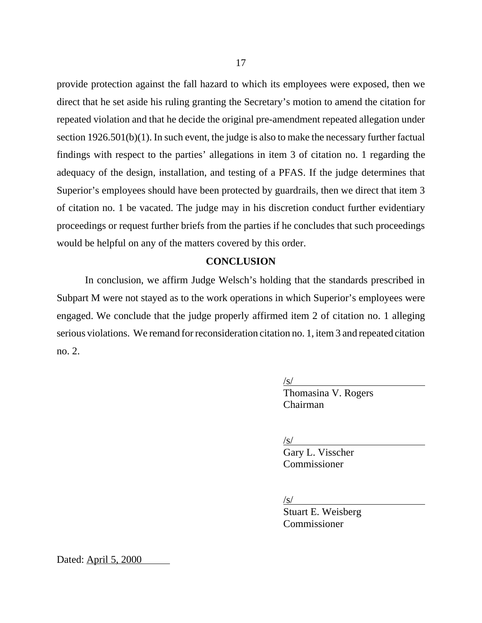provide protection against the fall hazard to which its employees were exposed, then we direct that he set aside his ruling granting the Secretary's motion to amend the citation for repeated violation and that he decide the original pre-amendment repeated allegation under section 1926.501(b)(1). In such event, the judge is also to make the necessary further factual findings with respect to the parties' allegations in item 3 of citation no. 1 regarding the adequacy of the design, installation, and testing of a PFAS. If the judge determines that Superior's employees should have been protected by guardrails, then we direct that item 3 of citation no. 1 be vacated. The judge may in his discretion conduct further evidentiary proceedings or request further briefs from the parties if he concludes that such proceedings would be helpful on any of the matters covered by this order.

# **CONCLUSION**

In conclusion, we affirm Judge Welsch's holding that the standards prescribed in Subpart M were not stayed as to the work operations in which Superior's employees were engaged. We conclude that the judge properly affirmed item 2 of citation no. 1 alleging serious violations. We remand for reconsideration citation no. 1, item 3 and repeated citation no. 2.

 $\sqrt{s/}$ 

Thomasina V. Rogers Chairman

 $\sqrt{s/2}$ 

Gary L. Visscher Commissioner

 $\sqrt{s/}$ 

Stuart E. Weisberg Commissioner

Dated: April 5, 2000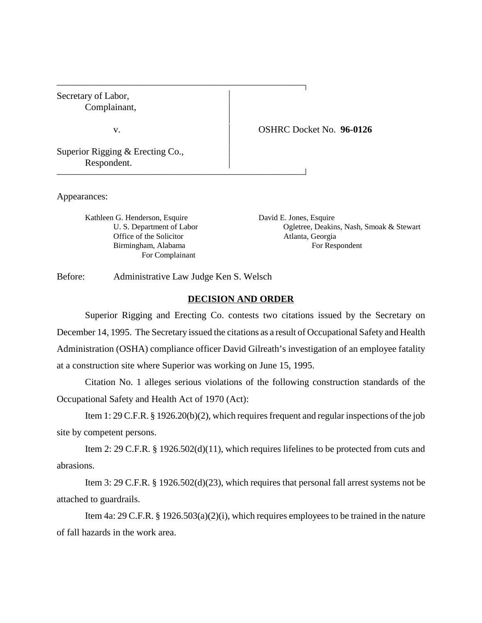Secretary of Labor, Complainant,

v. OSHRC Docket No. **96-0126** 

Superior Rigging & Erecting Co., Respondent.

Appearances:

Kathleen G. Henderson, Esquire David E. Jones, Esquire Office of the Solicitor Atlanta, Georgia For Complainant

U. S. Department of Labor Ogletree, Deakins, Nash, Smoak & Stewart Birmingham, Alabama For Respondent

Before: Administrative Law Judge Ken S. Welsch

 

 

#### **DECISION AND ORDER**

 $\overline{1}$ 

 $\overline{1}$ 

Superior Rigging and Erecting Co. contests two citations issued by the Secretary on December 14, 1995. The Secretary issued the citations as a result of Occupational Safety and Health Administration (OSHA) compliance officer David Gilreath's investigation of an employee fatality at a construction site where Superior was working on June 15, 1995.

Citation No. 1 alleges serious violations of the following construction standards of the Occupational Safety and Health Act of 1970 (Act):

Item 1: 29 C.F.R. § 1926.20(b)(2), which requires frequent and regular inspections of the job site by competent persons.

Item 2: 29 C.F.R. § 1926.502(d)(11), which requires lifelines to be protected from cuts and abrasions.

Item 3: 29 C.F.R. § 1926.502(d)(23), which requires that personal fall arrest systems not be attached to guardrails.

Item 4a: 29 C.F.R. § 1926.503(a)(2)(i), which requires employees to be trained in the nature of fall hazards in the work area.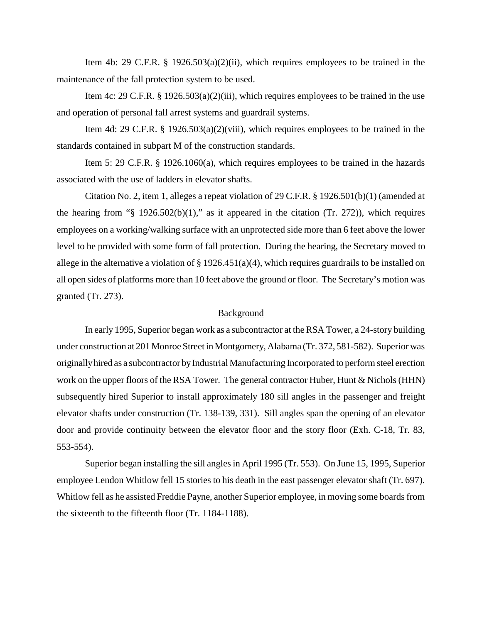Item 4b: 29 C.F.R. § 1926.503(a)(2)(ii), which requires employees to be trained in the maintenance of the fall protection system to be used.

Item 4c: 29 C.F.R. § 1926.503(a)(2)(iii), which requires employees to be trained in the use and operation of personal fall arrest systems and guardrail systems.

Item 4d: 29 C.F.R. § 1926.503(a)(2)(viii), which requires employees to be trained in the standards contained in subpart M of the construction standards.

Item 5: 29 C.F.R. § 1926.1060(a), which requires employees to be trained in the hazards associated with the use of ladders in elevator shafts.

Citation No. 2, item 1, alleges a repeat violation of 29 C.F.R. § 1926.501(b)(1) (amended at the hearing from " $\S$  1926.502(b)(1)," as it appeared in the citation (Tr. 272)), which requires employees on a working/walking surface with an unprotected side more than 6 feet above the lower level to be provided with some form of fall protection. During the hearing, the Secretary moved to allege in the alternative a violation of § 1926.451(a)(4), which requires guardrails to be installed on all open sides of platforms more than 10 feet above the ground or floor. The Secretary's motion was granted (Tr. 273).

#### Background

In early 1995, Superior began work as a subcontractor at the RSA Tower, a 24-story building under construction at 201 Monroe Street in Montgomery, Alabama (Tr. 372, 581-582). Superior was originally hired as a subcontractor by Industrial Manufacturing Incorporated to perform steel erection work on the upper floors of the RSA Tower. The general contractor Huber, Hunt & Nichols (HHN) subsequently hired Superior to install approximately 180 sill angles in the passenger and freight elevator shafts under construction (Tr. 138-139, 331). Sill angles span the opening of an elevator door and provide continuity between the elevator floor and the story floor (Exh. C-18, Tr. 83, 553-554).

Superior began installing the sill angles in April 1995 (Tr. 553). On June 15, 1995, Superior employee Lendon Whitlow fell 15 stories to his death in the east passenger elevator shaft (Tr. 697). Whitlow fell as he assisted Freddie Payne, another Superior employee, in moving some boards from the sixteenth to the fifteenth floor (Tr. 1184-1188).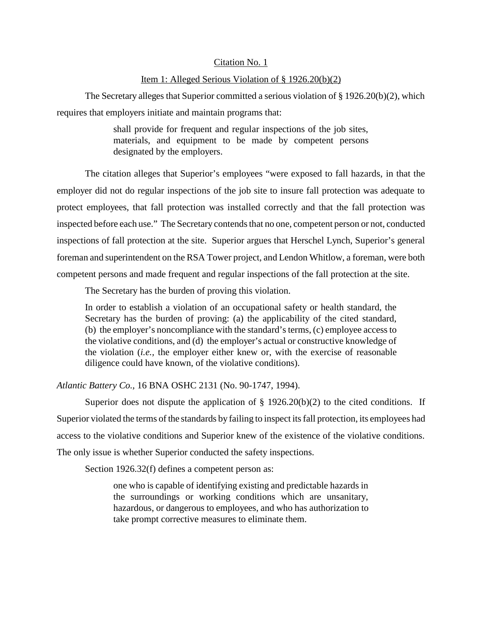### Citation No. 1

### Item 1: Alleged Serious Violation of § 1926.20(b)(2)

The Secretary alleges that Superior committed a serious violation of § 1926.20(b)(2), which requires that employers initiate and maintain programs that:

> shall provide for frequent and regular inspections of the job sites, materials, and equipment to be made by competent persons designated by the employers.

The citation alleges that Superior's employees "were exposed to fall hazards, in that the employer did not do regular inspections of the job site to insure fall protection was adequate to protect employees, that fall protection was installed correctly and that the fall protection was inspected before each use." The Secretary contends that no one, competent person or not, conducted inspections of fall protection at the site. Superior argues that Herschel Lynch, Superior's general foreman and superintendent on the RSA Tower project, and Lendon Whitlow, a foreman, were both competent persons and made frequent and regular inspections of the fall protection at the site.

The Secretary has the burden of proving this violation.

In order to establish a violation of an occupational safety or health standard, the Secretary has the burden of proving: (a) the applicability of the cited standard, (b) the employer's noncompliance with the standard's terms, (c) employee access to the violative conditions, and (d) the employer's actual or constructive knowledge of the violation (*i.e.,* the employer either knew or, with the exercise of reasonable diligence could have known, of the violative conditions).

*Atlantic Battery Co.,* 16 BNA OSHC 2131 (No. 90-1747, 1994).

Superior does not dispute the application of  $\S$  1926.20(b)(2) to the cited conditions. If Superior violated the terms of the standards by failing to inspect its fall protection, its employees had access to the violative conditions and Superior knew of the existence of the violative conditions. The only issue is whether Superior conducted the safety inspections.

Section 1926.32(f) defines a competent person as:

one who is capable of identifying existing and predictable hazards in the surroundings or working conditions which are unsanitary, hazardous, or dangerous to employees, and who has authorization to take prompt corrective measures to eliminate them.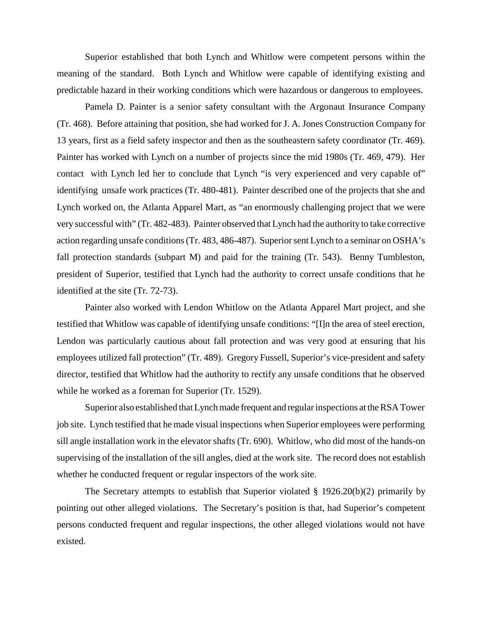Superior established that both Lynch and Whitlow were competent persons within the meaning of the standard. Both Lynch and Whitlow were capable of identifying existing and predictable hazard in their working conditions which were hazardous or dangerous to employees.

Pamela D. Painter is a senior safety consultant with the Argonaut Insurance Company (Tr. 468). Before attaining that position, she had worked for J. A. Jones Construction Company for 13 years, first as a field safety inspector and then as the southeastern safety coordinator (Tr. 469). Painter has worked with Lynch on a number of projects since the mid 1980s (Tr. 469, 479). Her contact with Lynch led her to conclude that Lynch "is very experienced and very capable of" identifying unsafe work practices (Tr. 480-481). Painter described one of the projects that she and Lynch worked on, the Atlanta Apparel Mart, as "an enormously challenging project that we were very successful with" (Tr. 482-483). Painter observed that Lynch had the authority to take corrective action regarding unsafe conditions (Tr. 483, 486-487). Superior sent Lynch to a seminar on OSHA's fall protection standards (subpart M) and paid for the training (Tr. 543). Benny Tumbleston, president of Superior, testified that Lynch had the authority to correct unsafe conditions that he identified at the site (Tr. 72-73).

Painter also worked with Lendon Whitlow on the Atlanta Apparel Mart project, and she testified that Whitlow was capable of identifying unsafe conditions: "[I]n the area of steel erection, Lendon was particularly cautious about fall protection and was very good at ensuring that his employees utilized fall protection" (Tr. 489). Gregory Fussell, Superior's vice-president and safety director, testified that Whitlow had the authority to rectify any unsafe conditions that he observed while he worked as a foreman for Superior (Tr. 1529).

Superior also established that Lynch made frequent and regular inspections at the RSA Tower job site. Lynch testified that he made visual inspections when Superior employees were performing sill angle installation work in the elevator shafts (Tr. 690). Whitlow, who did most of the hands-on supervising of the installation of the sill angles, died at the work site. The record does not establish whether he conducted frequent or regular inspectors of the work site.

The Secretary attempts to establish that Superior violated  $\S$  1926.20(b)(2) primarily by pointing out other alleged violations. The Secretary's position is that, had Superior's competent persons conducted frequent and regular inspections, the other alleged violations would not have existed.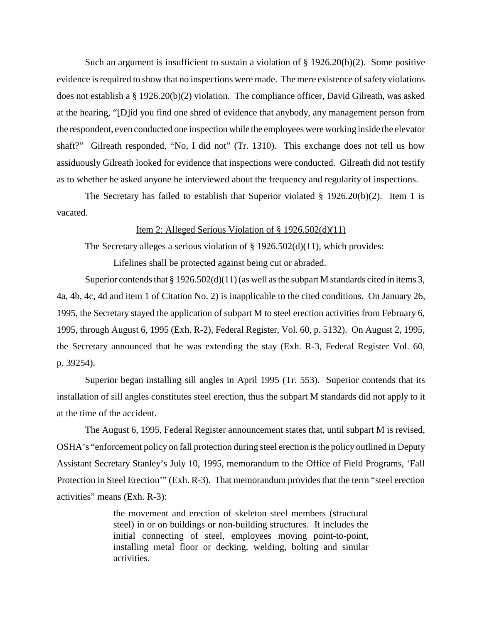Such an argument is insufficient to sustain a violation of  $\S 1926.20(b)(2)$ . Some positive evidence is required to show that no inspections were made. The mere existence of safety violations does not establish a § 1926.20(b)(2) violation. The compliance officer, David Gilreath, was asked at the hearing, "[D]id you find one shred of evidence that anybody, any management person from the respondent, even conducted one inspection while the employees were working inside the elevator shaft?" Gilreath responded, "No, I did not" (Tr. 1310). This exchange does not tell us how assiduously Gilreath looked for evidence that inspections were conducted. Gilreath did not testify as to whether he asked anyone he interviewed about the frequency and regularity of inspections.

The Secretary has failed to establish that Superior violated  $\S$  1926.20(b)(2). Item 1 is vacated.

### Item 2: Alleged Serious Violation of § 1926.502(d)(11)

The Secretary alleges a serious violation of  $\S 1926.502(d)(11)$ , which provides:

Lifelines shall be protected against being cut or abraded.

Superior contends that  $\S 1926.502(d)(11)$  (as well as the subpart M standards cited in items 3, 4a, 4b, 4c, 4d and item 1 of Citation No. 2) is inapplicable to the cited conditions. On January 26, 1995, the Secretary stayed the application of subpart M to steel erection activities from February 6, 1995, through August 6, 1995 (Exh. R-2), Federal Register, Vol. 60, p. 5132). On August 2, 1995, the Secretary announced that he was extending the stay (Exh. R-3, Federal Register Vol. 60, p. 39254).

Superior began installing sill angles in April 1995 (Tr. 553). Superior contends that its installation of sill angles constitutes steel erection, thus the subpart M standards did not apply to it at the time of the accident.

The August 6, 1995, Federal Register announcement states that, until subpart M is revised, OSHA's "enforcement policy on fall protection during steel erection is the policy outlined in Deputy Assistant Secretary Stanley's July 10, 1995, memorandum to the Office of Field Programs, 'Fall Protection in Steel Erection'" (Exh. R-3). That memorandum provides that the term "steel erection activities" means (Exh. R-3):

> the movement and erection of skeleton steel members (structural steel) in or on buildings or non-building structures. It includes the initial connecting of steel, employees moving point-to-point, installing metal floor or decking, welding, bolting and similar activities.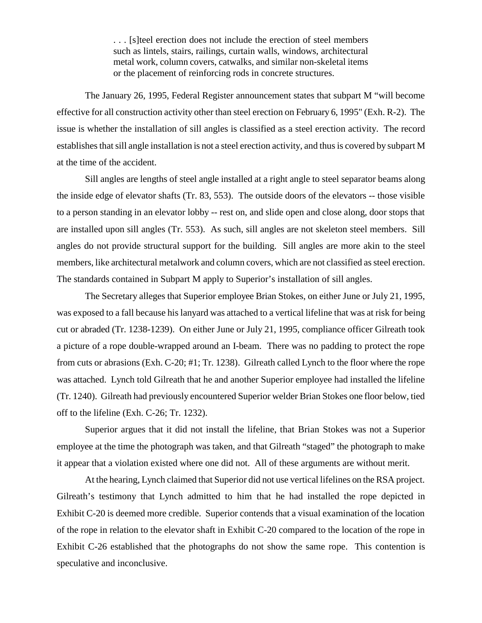. . . [s]teel erection does not include the erection of steel members such as lintels, stairs, railings, curtain walls, windows, architectural metal work, column covers, catwalks, and similar non-skeletal items or the placement of reinforcing rods in concrete structures.

The January 26, 1995, Federal Register announcement states that subpart M "will become effective for all construction activity other than steel erection on February 6, 1995" (Exh. R-2). The issue is whether the installation of sill angles is classified as a steel erection activity. The record establishes that sill angle installation is not a steel erection activity, and thus is covered by subpart M at the time of the accident.

Sill angles are lengths of steel angle installed at a right angle to steel separator beams along the inside edge of elevator shafts (Tr. 83, 553). The outside doors of the elevators -- those visible to a person standing in an elevator lobby -- rest on, and slide open and close along, door stops that are installed upon sill angles (Tr. 553). As such, sill angles are not skeleton steel members. Sill angles do not provide structural support for the building. Sill angles are more akin to the steel members, like architectural metalwork and column covers, which are not classified as steel erection. The standards contained in Subpart M apply to Superior's installation of sill angles.

The Secretary alleges that Superior employee Brian Stokes, on either June or July 21, 1995, was exposed to a fall because his lanyard was attached to a vertical lifeline that was at risk for being cut or abraded (Tr. 1238-1239). On either June or July 21, 1995, compliance officer Gilreath took a picture of a rope double-wrapped around an I-beam. There was no padding to protect the rope from cuts or abrasions (Exh. C-20; #1; Tr. 1238). Gilreath called Lynch to the floor where the rope was attached. Lynch told Gilreath that he and another Superior employee had installed the lifeline (Tr. 1240). Gilreath had previously encountered Superior welder Brian Stokes one floor below, tied off to the lifeline (Exh. C-26; Tr. 1232).

Superior argues that it did not install the lifeline, that Brian Stokes was not a Superior employee at the time the photograph was taken, and that Gilreath "staged" the photograph to make it appear that a violation existed where one did not. All of these arguments are without merit.

At the hearing, Lynch claimed that Superior did not use vertical lifelines on the RSA project. Gilreath's testimony that Lynch admitted to him that he had installed the rope depicted in Exhibit C-20 is deemed more credible. Superior contends that a visual examination of the location of the rope in relation to the elevator shaft in Exhibit C-20 compared to the location of the rope in Exhibit C-26 established that the photographs do not show the same rope. This contention is speculative and inconclusive.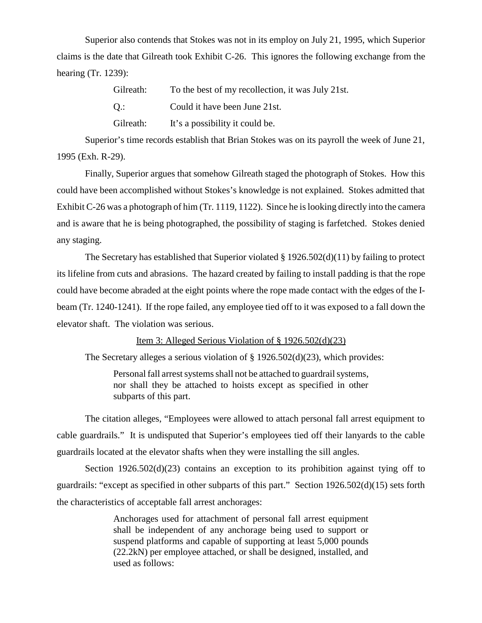Superior also contends that Stokes was not in its employ on July 21, 1995, which Superior claims is the date that Gilreath took Exhibit C-26. This ignores the following exchange from the hearing (Tr. 1239):

| Gilreath: | To the best of my recollection, it was July 21st. |
|-----------|---------------------------------------------------|
| Q.:       | Could it have been June 21st.                     |
| Gilreath: | It's a possibility it could be.                   |

Superior's time records establish that Brian Stokes was on its payroll the week of June 21, 1995 (Exh. R-29).

Finally, Superior argues that somehow Gilreath staged the photograph of Stokes. How this could have been accomplished without Stokes's knowledge is not explained. Stokes admitted that Exhibit C-26 was a photograph of him (Tr. 1119, 1122). Since he is looking directly into the camera and is aware that he is being photographed, the possibility of staging is farfetched. Stokes denied any staging.

The Secretary has established that Superior violated § 1926.502(d)(11) by failing to protect its lifeline from cuts and abrasions. The hazard created by failing to install padding is that the rope could have become abraded at the eight points where the rope made contact with the edges of the Ibeam (Tr. 1240-1241). If the rope failed, any employee tied off to it was exposed to a fall down the elevator shaft. The violation was serious.

Item 3: Alleged Serious Violation of § 1926.502(d)(23)

The Secretary alleges a serious violation of  $\S 1926.502(d)(23)$ , which provides:

Personal fall arrest systems shall not be attached to guardrail systems, nor shall they be attached to hoists except as specified in other subparts of this part.

The citation alleges, "Employees were allowed to attach personal fall arrest equipment to cable guardrails." It is undisputed that Superior's employees tied off their lanyards to the cable guardrails located at the elevator shafts when they were installing the sill angles.

Section  $1926.502(d)(23)$  contains an exception to its prohibition against tying off to guardrails: "except as specified in other subparts of this part." Section 1926.502(d)(15) sets forth the characteristics of acceptable fall arrest anchorages:

> Anchorages used for attachment of personal fall arrest equipment shall be independent of any anchorage being used to support or suspend platforms and capable of supporting at least 5,000 pounds (22.2kN) per employee attached, or shall be designed, installed, and used as follows: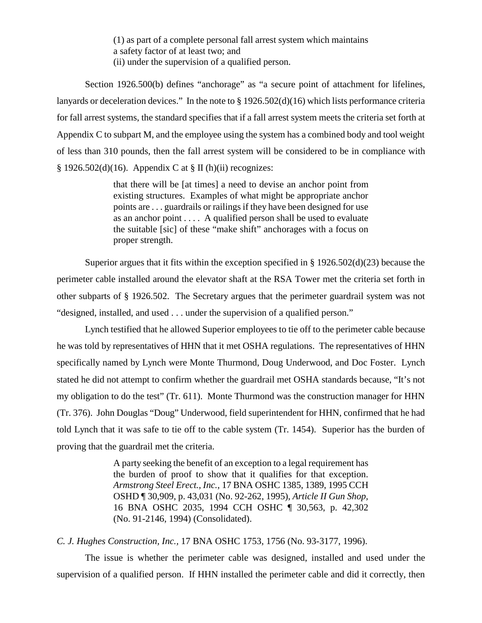(1) as part of a complete personal fall arrest system which maintains a safety factor of at least two; and (ii) under the supervision of a qualified person.

Section 1926.500(b) defines "anchorage" as "a secure point of attachment for lifelines, lanyards or deceleration devices." In the note to § 1926.502(d)(16) which lists performance criteria for fall arrest systems, the standard specifies that if a fall arrest system meets the criteria set forth at Appendix C to subpart M, and the employee using the system has a combined body and tool weight of less than 310 pounds, then the fall arrest system will be considered to be in compliance with  $§$  1926.502(d)(16). Appendix C at  $§$  II (h)(ii) recognizes:

> that there will be [at times] a need to devise an anchor point from existing structures. Examples of what might be appropriate anchor points are . . . guardrails or railings if they have been designed for use as an anchor point . . . . A qualified person shall be used to evaluate the suitable [sic] of these "make shift" anchorages with a focus on proper strength.

Superior argues that it fits within the exception specified in § 1926.502(d)(23) because the perimeter cable installed around the elevator shaft at the RSA Tower met the criteria set forth in other subparts of § 1926.502. The Secretary argues that the perimeter guardrail system was not "designed, installed, and used . . . under the supervision of a qualified person."

Lynch testified that he allowed Superior employees to tie off to the perimeter cable because he was told by representatives of HHN that it met OSHA regulations. The representatives of HHN specifically named by Lynch were Monte Thurmond, Doug Underwood, and Doc Foster. Lynch stated he did not attempt to confirm whether the guardrail met OSHA standards because, "It's not my obligation to do the test" (Tr. 611). Monte Thurmond was the construction manager for HHN (Tr. 376). John Douglas "Doug" Underwood, field superintendent for HHN, confirmed that he had told Lynch that it was safe to tie off to the cable system (Tr. 1454). Superior has the burden of proving that the guardrail met the criteria.

> A party seeking the benefit of an exception to a legal requirement has the burden of proof to show that it qualifies for that exception. *Armstrong Steel Erect., Inc.,* 17 BNA OSHC 1385, 1389, 1995 CCH OSHD ¶ 30,909, p. 43,031 (No. 92-262, 1995), *Article II Gun Shop,* 16 BNA OSHC 2035, 1994 CCH OSHC ¶ 30,563, p. 42,302 (No. 91-2146, 1994) (Consolidated).

*C. J. Hughes Construction, Inc.,* 17 BNA OSHC 1753, 1756 (No. 93-3177, 1996).

The issue is whether the perimeter cable was designed, installed and used under the supervision of a qualified person. If HHN installed the perimeter cable and did it correctly, then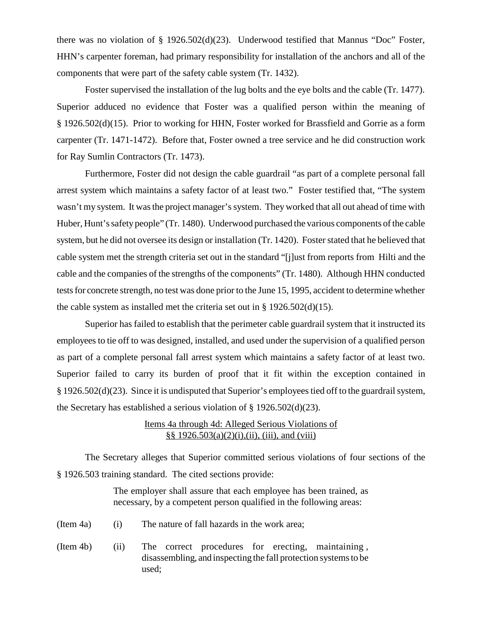there was no violation of § 1926.502(d)(23). Underwood testified that Mannus "Doc" Foster, HHN's carpenter foreman, had primary responsibility for installation of the anchors and all of the components that were part of the safety cable system (Tr. 1432).

Foster supervised the installation of the lug bolts and the eye bolts and the cable (Tr. 1477). Superior adduced no evidence that Foster was a qualified person within the meaning of § 1926.502(d)(15). Prior to working for HHN, Foster worked for Brassfield and Gorrie as a form carpenter (Tr. 1471-1472). Before that, Foster owned a tree service and he did construction work for Ray Sumlin Contractors (Tr. 1473).

Furthermore, Foster did not design the cable guardrail "as part of a complete personal fall arrest system which maintains a safety factor of at least two." Foster testified that, "The system wasn't my system. It was the project manager's system. They worked that all out ahead of time with Huber, Hunt's safety people" (Tr. 1480). Underwood purchased the various components of the cable system, but he did not oversee its design or installation (Tr. 1420). Foster stated that he believed that cable system met the strength criteria set out in the standard "[j]ust from reports from Hilti and the cable and the companies of the strengths of the components" (Tr. 1480). Although HHN conducted tests for concrete strength, no test was done prior to the June 15, 1995, accident to determine whether the cable system as installed met the criteria set out in  $\S$  1926.502(d)(15).

Superior has failed to establish that the perimeter cable guardrail system that it instructed its employees to tie off to was designed, installed, and used under the supervision of a qualified person as part of a complete personal fall arrest system which maintains a safety factor of at least two. Superior failed to carry its burden of proof that it fit within the exception contained in § 1926.502(d)(23). Since it is undisputed that Superior's employees tied off to the guardrail system, the Secretary has established a serious violation of § 1926.502(d)(23).

# Items 4a through 4d: Alleged Serious Violations of §§ 1926.503(a)(2)(i),(ii), (iii), and (viii)

The Secretary alleges that Superior committed serious violations of four sections of the § 1926.503 training standard. The cited sections provide:

> The employer shall assure that each employee has been trained, as necessary, by a competent person qualified in the following areas:

- (Item 4a) (i) The nature of fall hazards in the work area;
- (Item 4b) (ii) The correct procedures for erecting, maintaining , disassembling, and inspecting the fall protection systems to be used;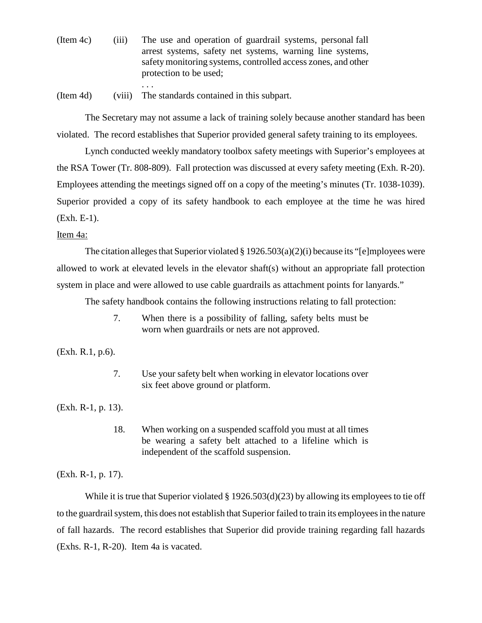- (Item 4c) (iii) The use and operation of guardrail systems, personal fall arrest systems, safety net systems, warning line systems, safety monitoring systems, controlled access zones, and other protection to be used;
- (Item 4d) (viii) The standards contained in this subpart.

. . .

The Secretary may not assume a lack of training solely because another standard has been violated. The record establishes that Superior provided general safety training to its employees.

Lynch conducted weekly mandatory toolbox safety meetings with Superior's employees at the RSA Tower (Tr. 808-809). Fall protection was discussed at every safety meeting (Exh. R-20). Employees attending the meetings signed off on a copy of the meeting's minutes (Tr. 1038-1039). Superior provided a copy of its safety handbook to each employee at the time he was hired (Exh. E-1).

### Item 4a:

The citation alleges that Superior violated  $\S 1926.503(a)(2)(i)$  because its "[e]mployees were allowed to work at elevated levels in the elevator shaft(s) without an appropriate fall protection system in place and were allowed to use cable guardrails as attachment points for lanyards."

The safety handbook contains the following instructions relating to fall protection:

7. When there is a possibility of falling, safety belts must be worn when guardrails or nets are not approved.

(Exh. R.1, p.6).

7. Use your safety belt when working in elevator locations over six feet above ground or platform.

(Exh. R-1, p. 13).

18. When working on a suspended scaffold you must at all times be wearing a safety belt attached to a lifeline which is independent of the scaffold suspension.

(Exh. R-1, p. 17).

While it is true that Superior violated § 1926.503(d)(23) by allowing its employees to tie off to the guardrail system, this does not establish that Superior failed to train its employees in the nature of fall hazards. The record establishes that Superior did provide training regarding fall hazards (Exhs. R-1, R-20). Item 4a is vacated.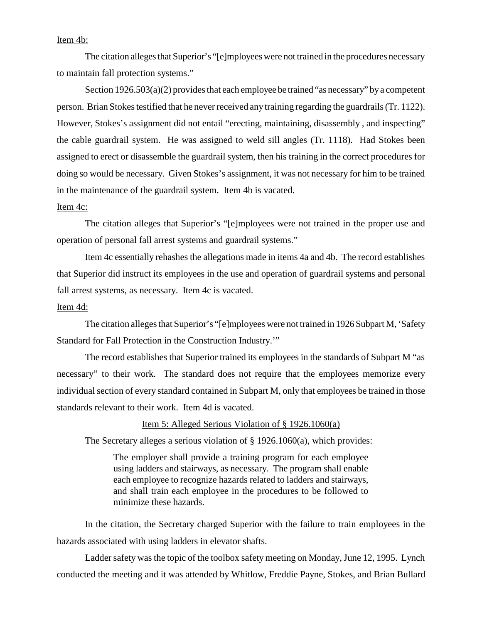## Item 4b:

The citation alleges that Superior's "[e]mployees were not trained in the procedures necessary to maintain fall protection systems."

Section 1926.503(a)(2) provides that each employee be trained "as necessary" by a competent person. Brian Stokes testified that he never received any training regarding the guardrails (Tr. 1122). However, Stokes's assignment did not entail "erecting, maintaining, disassembly , and inspecting" the cable guardrail system. He was assigned to weld sill angles (Tr. 1118). Had Stokes been assigned to erect or disassemble the guardrail system, then his training in the correct procedures for doing so would be necessary. Given Stokes's assignment, it was not necessary for him to be trained in the maintenance of the guardrail system. Item 4b is vacated.

#### Item 4c:

The citation alleges that Superior's "[e]mployees were not trained in the proper use and operation of personal fall arrest systems and guardrail systems."

Item 4c essentially rehashes the allegations made in items 4a and 4b. The record establishes that Superior did instruct its employees in the use and operation of guardrail systems and personal fall arrest systems, as necessary. Item 4c is vacated.

## Item 4d:

The citation alleges that Superior's "[e]mployees were not trained in 1926 Subpart M, 'Safety Standard for Fall Protection in the Construction Industry.'"

The record establishes that Superior trained its employees in the standards of Subpart M "as necessary" to their work. The standard does not require that the employees memorize every individual section of every standard contained in Subpart M, only that employees be trained in those standards relevant to their work. Item 4d is vacated.

#### Item 5: Alleged Serious Violation of § 1926.1060(a)

The Secretary alleges a serious violation of § 1926.1060(a), which provides:

The employer shall provide a training program for each employee using ladders and stairways, as necessary. The program shall enable each employee to recognize hazards related to ladders and stairways, and shall train each employee in the procedures to be followed to minimize these hazards.

In the citation, the Secretary charged Superior with the failure to train employees in the hazards associated with using ladders in elevator shafts.

Ladder safety was the topic of the toolbox safety meeting on Monday, June 12, 1995. Lynch conducted the meeting and it was attended by Whitlow, Freddie Payne, Stokes, and Brian Bullard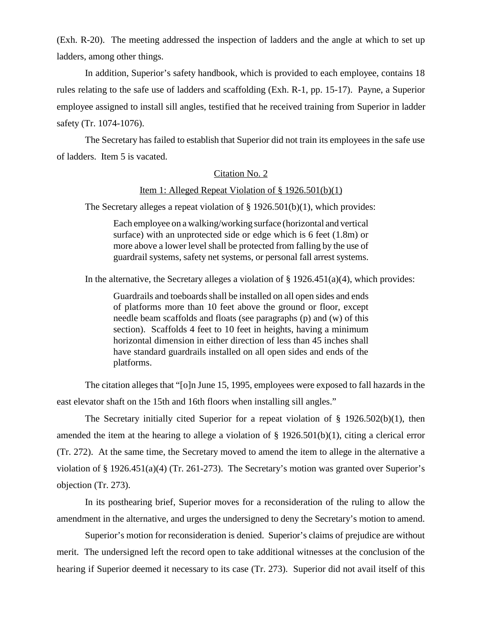(Exh. R-20). The meeting addressed the inspection of ladders and the angle at which to set up ladders, among other things.

In addition, Superior's safety handbook, which is provided to each employee, contains 18 rules relating to the safe use of ladders and scaffolding (Exh. R-1, pp. 15-17). Payne, a Superior employee assigned to install sill angles, testified that he received training from Superior in ladder safety (Tr. 1074-1076).

The Secretary has failed to establish that Superior did not train its employees in the safe use of ladders. Item 5 is vacated.

### Citation No. 2

### Item 1: Alleged Repeat Violation of § 1926.501(b)(1)

The Secretary alleges a repeat violation of § 1926.501(b)(1), which provides:

Each employee on a walking/working surface (horizontal and vertical surface) with an unprotected side or edge which is 6 feet (1.8m) or more above a lower level shall be protected from falling by the use of guardrail systems, safety net systems, or personal fall arrest systems.

In the alternative, the Secretary alleges a violation of  $\S 1926.451(a)(4)$ , which provides:

Guardrails and toeboards shall be installed on all open sides and ends of platforms more than 10 feet above the ground or floor, except needle beam scaffolds and floats (see paragraphs (p) and (w) of this section). Scaffolds 4 feet to 10 feet in heights, having a minimum horizontal dimension in either direction of less than 45 inches shall have standard guardrails installed on all open sides and ends of the platforms.

The citation alleges that "[o]n June 15, 1995, employees were exposed to fall hazards in the east elevator shaft on the 15th and 16th floors when installing sill angles."

The Secretary initially cited Superior for a repeat violation of  $\S$  1926.502(b)(1), then amended the item at the hearing to allege a violation of  $\S$  1926.501(b)(1), citing a clerical error (Tr. 272). At the same time, the Secretary moved to amend the item to allege in the alternative a violation of § 1926.451(a)(4) (Tr. 261-273). The Secretary's motion was granted over Superior's objection (Tr. 273).

In its posthearing brief, Superior moves for a reconsideration of the ruling to allow the amendment in the alternative, and urges the undersigned to deny the Secretary's motion to amend.

Superior's motion for reconsideration is denied. Superior's claims of prejudice are without merit. The undersigned left the record open to take additional witnesses at the conclusion of the hearing if Superior deemed it necessary to its case (Tr. 273). Superior did not avail itself of this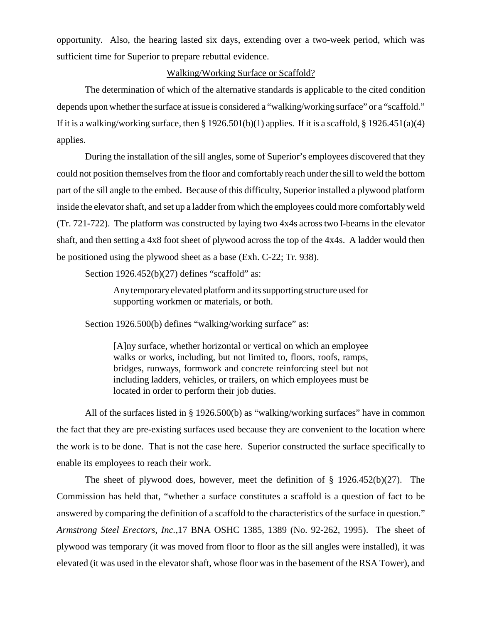opportunity. Also, the hearing lasted six days, extending over a two-week period, which was sufficient time for Superior to prepare rebuttal evidence.

### Walking/Working Surface or Scaffold?

The determination of which of the alternative standards is applicable to the cited condition depends upon whether the surface at issue is considered a "walking/working surface" or a "scaffold." If it is a walking/working surface, then  $\S 1926.501(b)(1)$  applies. If it is a scaffold,  $\S 1926.451(a)(4)$ applies.

During the installation of the sill angles, some of Superior's employees discovered that they could not position themselves from the floor and comfortably reach under the sill to weld the bottom part of the sill angle to the embed. Because of this difficulty, Superior installed a plywood platform inside the elevator shaft, and set up a ladder from which the employees could more comfortably weld (Tr. 721-722). The platform was constructed by laying two 4x4s across two I-beams in the elevator shaft, and then setting a 4x8 foot sheet of plywood across the top of the 4x4s. A ladder would then be positioned using the plywood sheet as a base (Exh. C-22; Tr. 938).

Section  $1926.452(b)(27)$  defines "scaffold" as:

Any temporary elevated platform and its supporting structure used for supporting workmen or materials, or both.

Section 1926.500(b) defines "walking/working surface" as:

[A]ny surface, whether horizontal or vertical on which an employee walks or works, including, but not limited to, floors, roofs, ramps, bridges, runways, formwork and concrete reinforcing steel but not including ladders, vehicles, or trailers, on which employees must be located in order to perform their job duties.

All of the surfaces listed in § 1926.500(b) as "walking/working surfaces" have in common the fact that they are pre-existing surfaces used because they are convenient to the location where the work is to be done. That is not the case here. Superior constructed the surface specifically to enable its employees to reach their work.

The sheet of plywood does, however, meet the definition of § 1926.452(b)(27). The Commission has held that, "whether a surface constitutes a scaffold is a question of fact to be answered by comparing the definition of a scaffold to the characteristics of the surface in question." *Armstrong Steel Erectors, Inc.,*17 BNA OSHC 1385, 1389 (No. 92-262, 1995). The sheet of plywood was temporary (it was moved from floor to floor as the sill angles were installed), it was elevated (it was used in the elevator shaft, whose floor was in the basement of the RSA Tower), and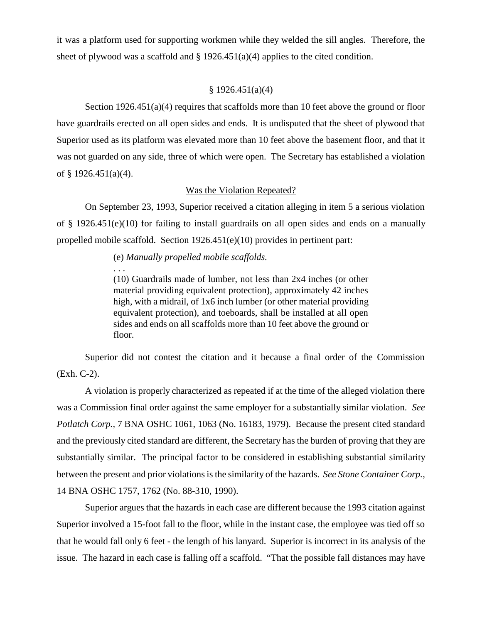it was a platform used for supporting workmen while they welded the sill angles. Therefore, the sheet of plywood was a scaffold and  $\S 1926.451(a)(4)$  applies to the cited condition.

### $§ 1926.451(a)(4)$

Section 1926.451(a)(4) requires that scaffolds more than 10 feet above the ground or floor have guardrails erected on all open sides and ends. It is undisputed that the sheet of plywood that Superior used as its platform was elevated more than 10 feet above the basement floor, and that it was not guarded on any side, three of which were open. The Secretary has established a violation of § 1926.451(a)(4).

### Was the Violation Repeated?

On September 23, 1993, Superior received a citation alleging in item 5 a serious violation of § 1926.451(e)(10) for failing to install guardrails on all open sides and ends on a manually propelled mobile scaffold. Section  $1926.451(e)(10)$  provides in pertinent part:

(e) *Manually propelled mobile scaffolds.*

. . .

(10) Guardrails made of lumber, not less than 2x4 inches (or other material providing equivalent protection), approximately 42 inches high, with a midrail, of 1x6 inch lumber (or other material providing equivalent protection), and toeboards, shall be installed at all open sides and ends on all scaffolds more than 10 feet above the ground or floor.

Superior did not contest the citation and it because a final order of the Commission (Exh. C-2).

A violation is properly characterized as repeated if at the time of the alleged violation there was a Commission final order against the same employer for a substantially similar violation. *See Potlatch Corp.,* 7 BNA OSHC 1061, 1063 (No. 16183, 1979). Because the present cited standard and the previously cited standard are different, the Secretary has the burden of proving that they are substantially similar. The principal factor to be considered in establishing substantial similarity between the present and prior violations is the similarity of the hazards. *See Stone Container Corp.,* 14 BNA OSHC 1757, 1762 (No. 88-310, 1990).

Superior argues that the hazards in each case are different because the 1993 citation against Superior involved a 15-foot fall to the floor, while in the instant case, the employee was tied off so that he would fall only 6 feet - the length of his lanyard. Superior is incorrect in its analysis of the issue. The hazard in each case is falling off a scaffold. "That the possible fall distances may have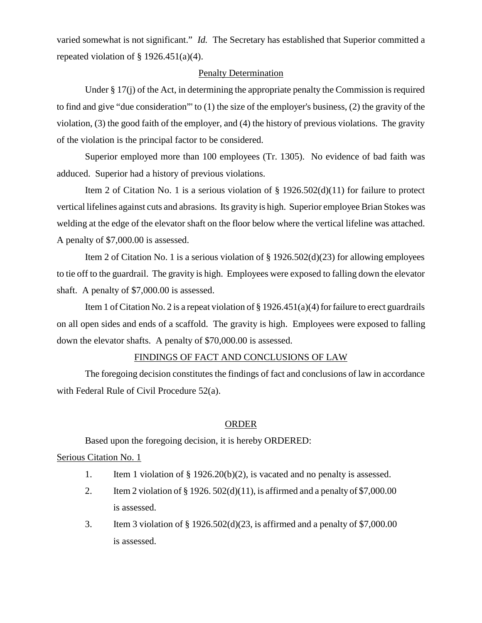varied somewhat is not significant." *Id.* The Secretary has established that Superior committed a repeated violation of  $\S$  1926.451(a)(4).

### Penalty Determination

Under § 17(j) of the Act, in determining the appropriate penalty the Commission is required to find and give "due consideration"' to (1) the size of the employer's business, (2) the gravity of the violation, (3) the good faith of the employer, and (4) the history of previous violations. The gravity of the violation is the principal factor to be considered.

Superior employed more than 100 employees (Tr. 1305). No evidence of bad faith was adduced. Superior had a history of previous violations.

Item 2 of Citation No. 1 is a serious violation of  $\S$  1926.502(d)(11) for failure to protect vertical lifelines against cuts and abrasions. Its gravity is high. Superior employee Brian Stokes was welding at the edge of the elevator shaft on the floor below where the vertical lifeline was attached. A penalty of \$7,000.00 is assessed.

Item 2 of Citation No. 1 is a serious violation of  $\S 1926.502(d)(23)$  for allowing employees to tie off to the guardrail. The gravity is high. Employees were exposed to falling down the elevator shaft. A penalty of \$7,000.00 is assessed.

Item 1 of Citation No. 2 is a repeat violation of § 1926.451(a)(4) for failure to erect guardrails on all open sides and ends of a scaffold. The gravity is high. Employees were exposed to falling down the elevator shafts. A penalty of \$70,000.00 is assessed.

### FINDINGS OF FACT AND CONCLUSIONS OF LAW

The foregoing decision constitutes the findings of fact and conclusions of law in accordance with Federal Rule of Civil Procedure 52(a).

#### **ORDER**

Based upon the foregoing decision, it is hereby ORDERED:

### Serious Citation No. 1

- 1. Item 1 violation of  $\S 1926.20(b)(2)$ , is vacated and no penalty is assessed.
- 2. Item 2 violation of  $\S 1926. 502(d)(11)$ , is affirmed and a penalty of \$7,000.00 is assessed.
- 3. Item 3 violation of § 1926.502(d)(23, is affirmed and a penalty of \$7,000.00 is assessed.